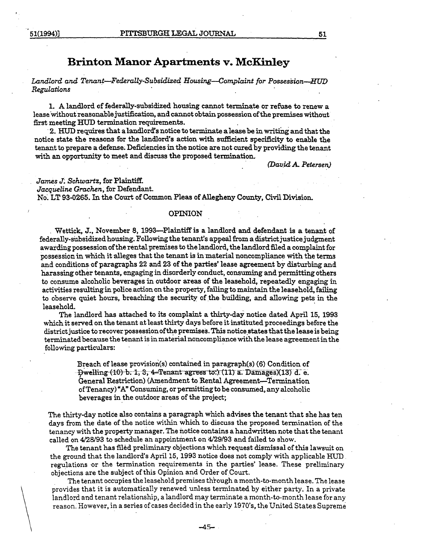# **Brinton Manor Apartments v. McKinley**

# *Landlord and Tenan.t-Federally-Subsidized; Housing-Complaint for Possession-HUD Regulations*

1. A landlord of federally-subsidized housing cannot terminate or refuse to renew a lease 'without reasonable justification, and cannot obtain possession of the premises without first meeting HUn termination requirements. .

2. HUD requires that a landlord's notice to terminate a lease be in writing and that the notice state the reasons for the landlord's action with sufficient specificity to enable the tenant to prepare a defense. Deficiencies in the notice are not cured by providing the tenant with an opportunity to meet and discuss the proposed termination.

*(Dav.id* A *Petersen)* 

*James J. Schwartz, for Plaintiff.* Jacqueline Grachen, for Defendant. No~ LT 93-0265. In the Court of Common Pleas of Allegheny County, Civil Division.

### OPINION

. Wettick, J., November 8, 1993-Plaintiffis a landlord and defendant.is a tenant of federally-subsidized housing. Following the tenant's appeal from a district justice judgment awarding possession of the rental premises to the landlord, the landlord filed a complaint for possession in which it alleges that the tenant is in material noncompliance with the terms and conditions. of paragraphs 22 and 23 of the parties'lease agreement by disturbing and harassing other tenants, engaging in disorderly conduct, consuming and permitting others to consume alcoholic beverages in outdoor areas of the leasehold, repeatedly engaging in activities resulting in police action on the property, failing to maintain the leasehold, failing to observe quiet hours, breaching the security of the building, and allowing pets in the leasehold. .

The landlord has attached to its complaint a thirty-day notice dated April 15, 1993 which it served on the tenant at least thirty days before it instituted proceedings before the district justice to recover possession of the premises. This notice states that the lease is being terminated because the tenant is in material noncompliance with the lease agreement in the following particulars: .

> Breach of lease provision(s) contained in paragraph(s) (6) Condition of  $-$  Dwelling-(10) b. 1, 3, 4-Tenant agrees to:) (11) a. Damages)(13) d. e. General Restriction) (Amendment to Rental Agreement-Termination of Tenancy) "A" Consuming, or pemrittingto be consumed. any alcoholic beverages in the outdoor areas of the project;

The thirty-day notice also contains a paragraph which advises the tenant that she has ten days from the date of the notice within which to discuss the proposed termination of the tenancy with the property manager. The notice contains a handwritten note that the tenant called on *4128193* to schedule an appointment on *4129/93* and failed to show.

The tenant has filed preliminary objections which request dismissal of this lawsuit on the ground that the landlord's April 15, 1993 notice does not comply with applicable HUD . regulations or the termination requirements in the parties' lease. These preliminary objections are the subject of this Opinion and Order of Court.

The tenant occupies the leasehold premises through a month-to-month lease. The lease provides that it is automatically renewed unless terminated by either party. In a private landlord and tenant relationship, a landlord may terminate a month-to-month lease for any reason. However, in a series of cases decided in the early 1970's, the United States Supreme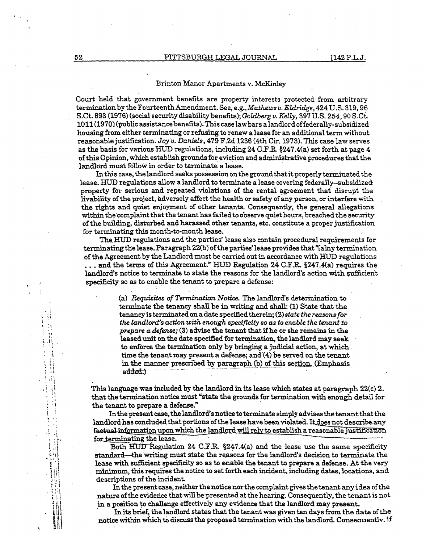## Brinton Manor Apartments v. McKinley

Court held that government benefits are property interests protected from arbitrary termination by the Fourteenth Amendment. See, e.g., *Ma.thews v. Eldridge,* 424 U.S. 319,96 S.Ct. 893 (1976) (social security disability benefits); *Goldberg v. Kelly,* 397 U.S. 254, 90 S. Ct. 1011 (1970) (public assistance benefits). This case law bars a landlord offederally-subsidized housing from either terminating or refusing to renew a lease for an additional term without reasonable justification. *Joy v. Daniels*, 479 F.2d 1236 (4th Cir. 1973). This case law serves as the basis for various HUD regulations, including 24 C.F.R.  $\S 247.4$ (a) set forth at page 4 of this Opinion, which establish grounds for eviction and administrative procedures that the landlord must follow in order to terminate a lease.

In this case, the landlord seeks possession on the ground that it properly terminated the lease. HUD regulations allow a landlord to terminate a lease covering federally-subsidized property for serious and repeated violations of the rental agreement that disrupt the livability of the project. adversely affect the health or safety of any person. or interfere with the rights and quiet enjoyment of other tenants. Consequently. the general allegations within the'complaint that the tenant has failed to observe quiet hours, breached the security of the building, disturbed and harassed other tenants, etc. constitute a proper justification for terminating this month-to-month lease.

The HUD regulations and the parties' lease also contain procedural requirements for terminating the lease. Paragraph 22(b) of the parties' lease provides that "[a]ny termination of the Agreement by the Landlord must be carried out in accordance with HUD regulations  $\ldots$  and the terms of this Agreement." HUD Regulation 24 C.F.R. §247.4(a) requires the landlord's notice to terminate to state the reasons for the landlord's action with sufficient specificity so as to enable the tenant to prepare a defense:

> (a) *Requisites of Termination Notice.* The landlord's deterinination to terminate the tenancy shall be in writing and shall: (1) State that the tenancy is terminated on a date specified therein; (2) *state the reasons for*  the landlord's action with enough specificity so as to enable the tenant to *prepare a. defense;* (3) advise the tenant that if he or she remains in the leased unit on the date specified for termination, the landlord may seek to enforce the termination only by bringing a judicial action, at which time the tenant may present a defense; and (4) be served on the tenant in the manner prescribed by paragraph (b) of this section. (Emphasis added.)

This language was included by the landlord in its lease which states at paragraph  $22(c)$  2. that the termination notice must "state the grounds for termination with enough detail for the tenant to prepare a defense."

In the present case, the landlord's notice to terminate simply advises the tenant that the landlord has concluded that portions of the lease have been violated. It does not describe any faetual information upon which the landlord will rely to establish a reasonable justification for terminating the lease.

Both  $\overline{H}$ UD Regulation 24 C.F.R. §247.4(a) and the lease use the same specificity standard-the writing must state the reasons for the landlord's decision to terminate the lease with sufficient specificity so as to enable the tenant to prepare a defense. At the very minimum, this requires the notice to set forth each incident, including dates, locations, and descriptions of the incident.

In the present case, neither the notice nor the complaint gives the tenant any idea of the nature of the evidence that will be presented at the hearing. Consequently, the tenant is not in a position to challenge effectively any evidence that the landlord may present.

In its brief, the landlord states that the tenant was given ten days from the date of the notice within which to discuss the proposed termination with the landlord. Consequently, if

 $\mathcal{L}$  $\mathcal{L}$ 

÷

∴

t:

 $\frac{1}{2}$ 

 $\frac{1}{2}$ 

 $\frac{1}{2}$ 

ŧ

 $\frac{1}{2}$  $\cdot$  : 

新闻

ŧ.

 $\ddot{\cdot}$ 

\